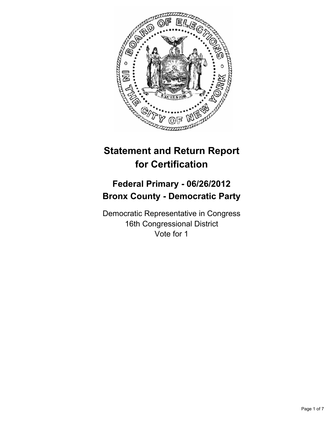

# **Statement and Return Report for Certification**

## **Federal Primary - 06/26/2012 Bronx County - Democratic Party**

Democratic Representative in Congress 16th Congressional District Vote for 1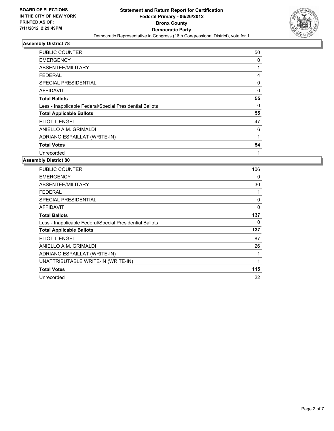

| PUBLIC COUNTER                                           | 50 |
|----------------------------------------------------------|----|
| <b>EMERGENCY</b>                                         | 0  |
| ABSENTEE/MILITARY                                        |    |
| <b>FEDERAL</b>                                           | 4  |
| SPECIAL PRESIDENTIAL                                     | 0  |
| <b>AFFIDAVIT</b>                                         | 0  |
| <b>Total Ballots</b>                                     | 55 |
| Less - Inapplicable Federal/Special Presidential Ballots | 0  |
| <b>Total Applicable Ballots</b>                          | 55 |
| ELIOT L ENGEL                                            | 47 |
| ANIELLO A.M. GRIMALDI                                    | 6  |
| ADRIANO ESPAILLAT (WRITE-IN)                             |    |
| <b>Total Votes</b>                                       | 54 |
| Unrecorded                                               | 1  |

| <b>PUBLIC COUNTER</b>                                    | 106      |
|----------------------------------------------------------|----------|
| <b>EMERGENCY</b>                                         | 0        |
| ABSENTEE/MILITARY                                        | 30       |
| <b>FEDERAL</b>                                           | 1        |
| SPECIAL PRESIDENTIAL                                     | 0        |
| <b>AFFIDAVIT</b>                                         | $\Omega$ |
| <b>Total Ballots</b>                                     | 137      |
| Less - Inapplicable Federal/Special Presidential Ballots | $\Omega$ |
| <b>Total Applicable Ballots</b>                          | 137      |
| <b>ELIOT L ENGEL</b>                                     | 87       |
| ANIELLO A.M. GRIMALDI                                    | 26       |
| ADRIANO ESPAILLAT (WRITE-IN)                             | 1        |
| UNATTRIBUTABLE WRITE-IN (WRITE-IN)                       | 1        |
| <b>Total Votes</b>                                       | 115      |
| Unrecorded                                               | 22       |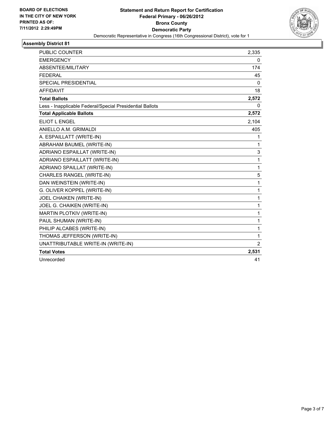

| <b>PUBLIC COUNTER</b>                                    | 2,335          |
|----------------------------------------------------------|----------------|
| <b>EMERGENCY</b>                                         | 0              |
| <b>ABSENTEE/MILITARY</b>                                 | 174            |
| <b>FEDERAL</b>                                           | 45             |
| <b>SPECIAL PRESIDENTIAL</b>                              | 0              |
| <b>AFFIDAVIT</b>                                         | 18             |
| <b>Total Ballots</b>                                     | 2,572          |
| Less - Inapplicable Federal/Special Presidential Ballots | 0              |
| <b>Total Applicable Ballots</b>                          | 2,572          |
| ELIOT L ENGEL                                            | 2,104          |
| ANIELLO A.M. GRIMALDI                                    | 405            |
| A. ESPAILLATT (WRITE-IN)                                 | 1              |
| ABRAHAM BAUMEL (WRITE-IN)                                | $\mathbf{1}$   |
| ADRIANO ESPAILLAT (WRITE-IN)                             | 3              |
| ADRIANO ESPAILLATT (WRITE-IN)                            | 1              |
| ADRIANO SPAILLAT (WRITE-IN)                              | $\mathbf{1}$   |
| CHARLES RANGEL (WRITE-IN)                                | 5              |
| DAN WEINSTEIN (WRITE-IN)                                 | 1              |
| G. OLIVER KOPPEL (WRITE-IN)                              | 1              |
| JOEL CHAIKEN (WRITE-IN)                                  | $\mathbf 1$    |
| JOEL G. CHAIKEN (WRITE-IN)                               | 1              |
| MARTIN PLOTKIV (WRITE-IN)                                | 1              |
| PAUL SHUMAN (WRITE-IN)                                   | $\mathbf 1$    |
| PHILIP ALCABES (WRITE-IN)                                | 1              |
| THOMAS JEFFERSON (WRITE-IN)                              | $\mathbf{1}$   |
| UNATTRIBUTABLE WRITE-IN (WRITE-IN)                       | $\overline{2}$ |
| <b>Total Votes</b>                                       | 2,531          |
| Unrecorded                                               | 41             |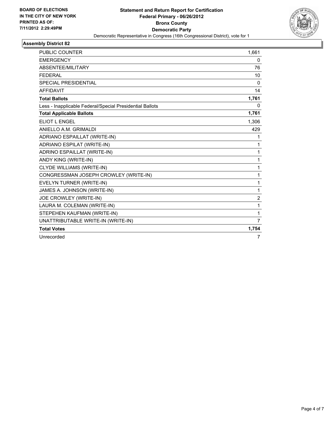

| PUBLIC COUNTER                                           | 1,661          |
|----------------------------------------------------------|----------------|
| <b>EMERGENCY</b>                                         | 0              |
| ABSENTEE/MILITARY                                        | 76             |
| <b>FEDERAL</b>                                           | 10             |
| <b>SPECIAL PRESIDENTIAL</b>                              | $\mathbf{0}$   |
| <b>AFFIDAVIT</b>                                         | 14             |
| <b>Total Ballots</b>                                     | 1,761          |
| Less - Inapplicable Federal/Special Presidential Ballots | 0              |
| <b>Total Applicable Ballots</b>                          | 1,761          |
| <b>ELIOT L ENGEL</b>                                     | 1,306          |
| ANIELLO A.M. GRIMALDI                                    | 429            |
| ADRIANO ESPAILLAT (WRITE-IN)                             | 1              |
| <b>ADRIANO ESPILAT (WRITE-IN)</b>                        | 1              |
| ADRINO ESPAILLAT (WRITE-IN)                              | 1              |
| ANDY KING (WRITE-IN)                                     | 1              |
| CLYDE WILLIAMS (WRITE-IN)                                | 1              |
| CONGRESSMAN JOSEPH CROWLEY (WRITE-IN)                    | 1              |
| EVELYN TURNER (WRITE-IN)                                 | 1              |
| JAMES A. JOHNSON (WRITE-IN)                              | 1              |
| JOE CROWLEY (WRITE-IN)                                   | $\overline{c}$ |
| LAURA M. COLEMAN (WRITE-IN)                              | 1              |
| STEPEHEN KAUFMAN (WRITE-IN)                              | 1              |
| UNATTRIBUTABLE WRITE-IN (WRITE-IN)                       | $\overline{7}$ |
| <b>Total Votes</b>                                       | 1,754          |
| Unrecorded                                               | 7              |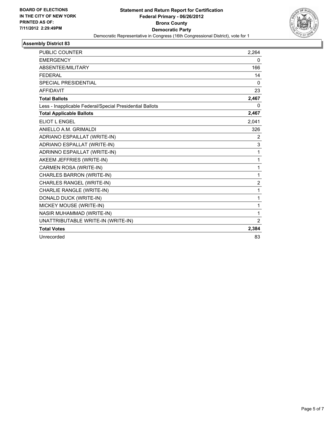

| <b>PUBLIC COUNTER</b>                                    | 2.264          |
|----------------------------------------------------------|----------------|
| <b>EMERGENCY</b>                                         | 0              |
| ABSENTEE/MILITARY                                        | 166            |
| <b>FEDERAL</b>                                           | 14             |
| <b>SPECIAL PRESIDENTIAL</b>                              | $\Omega$       |
| <b>AFFIDAVIT</b>                                         | 23             |
| <b>Total Ballots</b>                                     | 2,467          |
| Less - Inapplicable Federal/Special Presidential Ballots | 0              |
| <b>Total Applicable Ballots</b>                          | 2,467          |
| <b>ELIOT L ENGEL</b>                                     | 2,041          |
| ANIELLO A.M. GRIMALDI                                    | 326            |
| ADRIANO ESPAILLAT (WRITE-IN)                             | $\overline{2}$ |
| ADRIANO ESPALLAT (WRITE-IN)                              | 3              |
| ADRINNO ESPAILLAT (WRITE-IN)                             | 1              |
| AKEEM JEFFRIES (WRITE-IN)                                | 1              |
| CARMEN ROSA (WRITE-IN)                                   | 1              |
| <b>CHARLES BARRON (WRITE-IN)</b>                         | 1              |
| CHARLES RANGEL (WRITE-IN)                                | 2              |
| CHARLIE RANGLE (WRITE-IN)                                | 1              |
| DONALD DUCK (WRITE-IN)                                   | 1              |
| MICKEY MOUSE (WRITE-IN)                                  | 1              |
| <b>NASIR MUHAMMAD (WRITE-IN)</b>                         | 1              |
| UNATTRIBUTABLE WRITE-IN (WRITE-IN)                       | $\overline{2}$ |
| <b>Total Votes</b>                                       | 2,384          |
| Unrecorded                                               | 83             |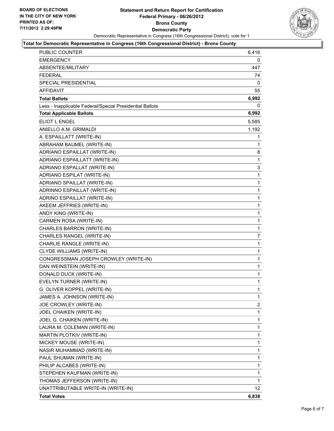

### **Total for Democratic Representative in Congress (16th Congressional District) - Bronx County**

| PUBLIC COUNTER                                           | 6,416           |
|----------------------------------------------------------|-----------------|
| <b>EMERGENCY</b>                                         | 0               |
| ABSENTEE/MILITARY                                        | 447             |
| <b>FEDERAL</b>                                           | 74              |
| SPECIAL PRESIDENTIAL                                     | 0               |
| AFFIDAVIT                                                | 55              |
| <b>Total Ballots</b>                                     | 6,992           |
| Less - Inapplicable Federal/Special Presidential Ballots | 0               |
| <b>Total Applicable Ballots</b>                          | 6,992           |
| ELIOT L ENGEL                                            | 5,585           |
| ANIELLO A.M. GRIMALDI                                    | 1,192           |
| A. ESPAILLATT (WRITE-IN)                                 | 1               |
| ABRAHAM BAUMEL (WRITE-IN)                                | 1               |
| ADRIANO ESPAILLAT (WRITE-IN)                             | 8               |
| ADRIANO ESPAILLATT (WRITE-IN)                            | 1               |
| ADRIANO ESPALLAT (WRITE-IN)                              | 3               |
| ADRIANO ESPILAT (WRITE-IN)                               | 1               |
| ADRIANO SPAILLAT (WRITE-IN)                              | 1               |
| ADRINNO ESPAILLAT (WRITE-IN)                             | 1               |
| ADRINO ESPAILLAT (WRITE-IN)                              | 1               |
| AKEEM JEFFRIES (WRITE-IN)                                | $\mathbf{1}$    |
| ANDY KING (WRITE-IN)                                     | 1               |
| CARMEN ROSA (WRITE-IN)                                   | 1               |
| CHARLES BARRON (WRITE-IN)                                | $\mathbf{1}$    |
| CHARLES RANGEL (WRITE-IN)                                | $\overline{7}$  |
| CHARLIE RANGLE (WRITE-IN)                                | 1               |
| CLYDE WILLIAMS (WRITE-IN)                                | $\mathbf{1}$    |
| CONGRESSMAN JOSEPH CROWLEY (WRITE-IN)                    | 1               |
| DAN WEINSTEIN (WRITE-IN)                                 | 1               |
| DONALD DUCK (WRITE-IN)                                   | $\mathbf{1}$    |
| EVELYN TURNER (WRITE-IN)                                 | 1               |
| G. OLIVER KOPPEL (WRITE-IN)                              | 1               |
| JAMES A. JOHNSON (WRITE-IN)                              | 1               |
| JOE CROWLEY (WRITE-IN)                                   | 2               |
| <b>JOEL CHAIKEN (WRITE-IN)</b>                           | 1               |
| JOEL G. CHAIKEN (WRITE-IN)                               | 1               |
| LAURA M. COLEMAN (WRITE-IN)                              | 1               |
| MARTIN PLOTKIV (WRITE-IN)                                | 1               |
| MICKEY MOUSE (WRITE-IN)                                  | 1               |
| NASIR MUHAMMAD (WRITE-IN)                                | 1               |
| PAUL SHUMAN (WRITE-IN)                                   | 1               |
| PHILIP ALCABES (WRITE-IN)                                | 1               |
| STEPEHEN KAUFMAN (WRITE-IN)                              | 1               |
| THOMAS JEFFERSON (WRITE-IN)                              | 1               |
| UNATTRIBUTABLE WRITE-IN (WRITE-IN)                       | 12 <sup>°</sup> |
| <b>Total Votes</b>                                       | 6,838           |